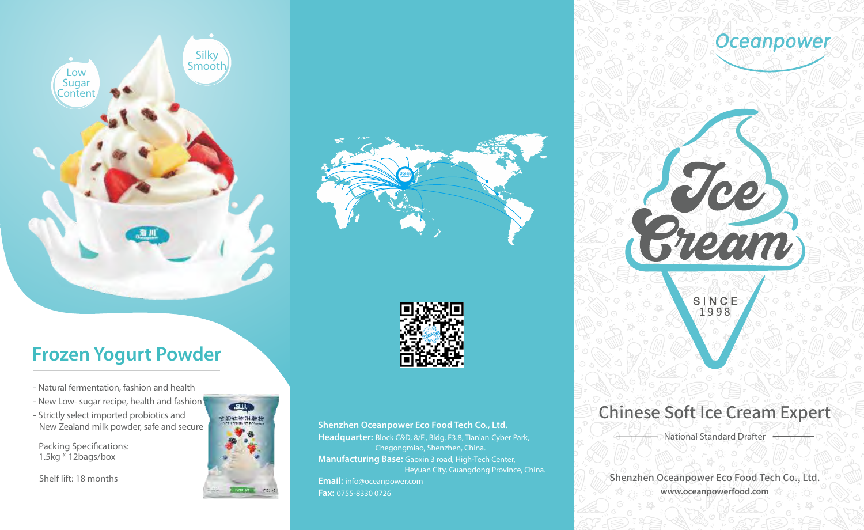

# **Frozen Yogurt Powder**

- -Natural fermentation, fashion and health
- New Low- sugar recipe, health and fashion
- -Strictly select imported probiotics and New Zealand milk powder, safe and secure
- Packing Specifications: 1.5kg \* 12bags/box

Shelf lift: 18 months







**Shenzhen Oceanpower Eco Food Tech Co., Ltd. Headquarter:** Block C&D, 8/F., Bldg. F3.8, Tian'an Cyber Park, Chegongmiao, Shenzhen, China. **Manufacturing Base:** Gaoxin 3 road, High-Tech Center, Heyuan City, Guangdong Province, China. **Email:** info@oceanpower.com **Fax:** 0755-8330 0726

Oceanpower

### Chinese Soft Ice Cream Expert

National Standard Drafter

Shenzhen Oceanpower Eco Food Tech Co., Ltd. **www.oceanpowerfood.com**